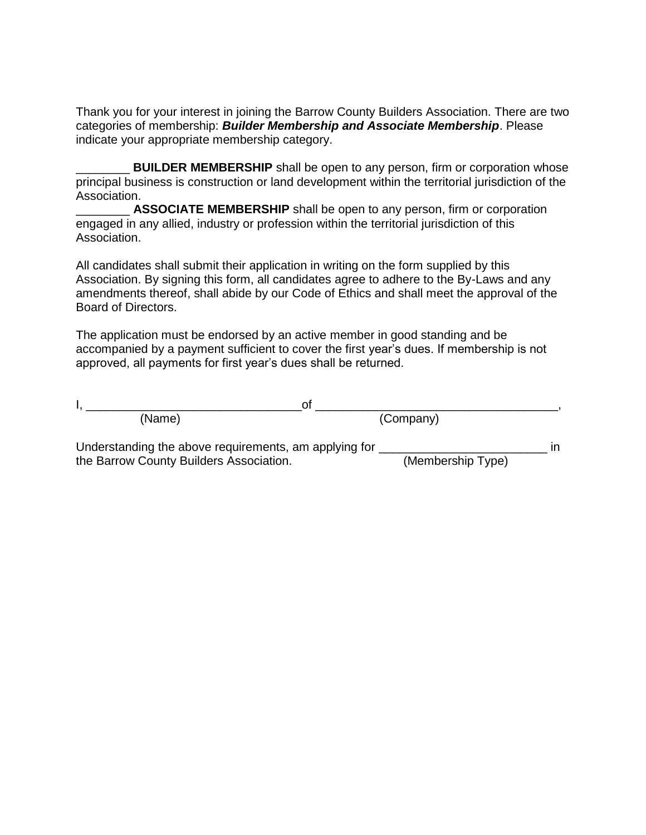Thank you for your interest in joining the Barrow County Builders Association. There are two categories of membership: *Builder Membership and Associate Membership*. Please indicate your appropriate membership category.

**BUILDER MEMBERSHIP** shall be open to any person, firm or corporation whose principal business is construction or land development within the territorial jurisdiction of the Association.

\_\_\_\_\_\_\_\_ **ASSOCIATE MEMBERSHIP** shall be open to any person, firm or corporation engaged in any allied, industry or profession within the territorial jurisdiction of this Association.

All candidates shall submit their application in writing on the form supplied by this Association. By signing this form, all candidates agree to adhere to the By-Laws and any amendments thereof, shall abide by our Code of Ethics and shall meet the approval of the Board of Directors.

The application must be endorsed by an active member in good standing and be accompanied by a payment sufficient to cover the first year's dues. If membership is not approved, all payments for first year's dues shall be returned.

| Ωt                                                    |                   |  |
|-------------------------------------------------------|-------------------|--|
| (Name)                                                | (Company)         |  |
| Understanding the above requirements, am applying for |                   |  |
| the Barrow County Builders Association.               | (Membership Type) |  |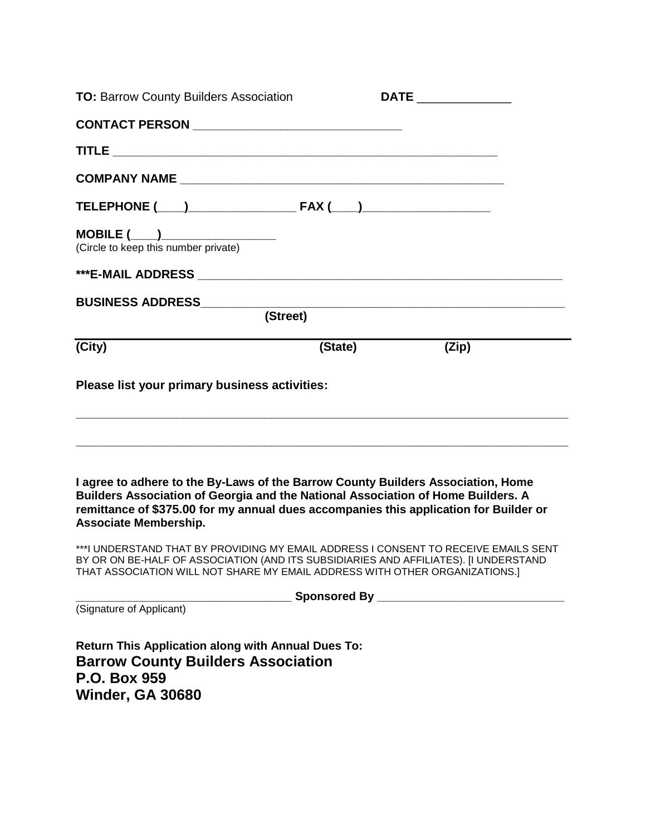| <b>TO: Barrow County Builders Association</b>                                                                                                                                                                                                                                                 |         |                                                                                                                      |  |
|-----------------------------------------------------------------------------------------------------------------------------------------------------------------------------------------------------------------------------------------------------------------------------------------------|---------|----------------------------------------------------------------------------------------------------------------------|--|
| CONTACT PERSON __________________________________                                                                                                                                                                                                                                             |         |                                                                                                                      |  |
|                                                                                                                                                                                                                                                                                               |         |                                                                                                                      |  |
|                                                                                                                                                                                                                                                                                               |         |                                                                                                                      |  |
|                                                                                                                                                                                                                                                                                               |         |                                                                                                                      |  |
|                                                                                                                                                                                                                                                                                               |         |                                                                                                                      |  |
|                                                                                                                                                                                                                                                                                               |         |                                                                                                                      |  |
| <b>BUSINESS ADDRESS_______________</b><br>(Street)                                                                                                                                                                                                                                            |         | <u> 2000 - Jan James James James James James James James James James James James James James James James James J</u> |  |
| (City)                                                                                                                                                                                                                                                                                        | (State) | (Zip)                                                                                                                |  |
| Please list your primary business activities:                                                                                                                                                                                                                                                 |         |                                                                                                                      |  |
| I agree to adhere to the By-Laws of the Barrow County Builders Association, Home<br>Builders Association of Georgia and the National Association of Home Builders. A<br>remittance of \$375.00 for my annual dues accompanies this application for Builder or<br><b>Associate Membership.</b> |         |                                                                                                                      |  |
| ***I UNDERSTAND THAT BY PROVIDING MY EMAIL ADDRESS I CONSENT TO RECEIVE EMAILS SENT<br>BY OR ON BE-HALF OF ASSOCIATION (AND ITS SUBSIDIARIES AND AFFILIATES). [I UNDERSTAND<br>THAT ASSOCIATION WILL NOT SHARE MY EMAIL ADDRESS WITH OTHER ORGANIZATIONS.]                                    |         |                                                                                                                      |  |
|                                                                                                                                                                                                                                                                                               |         |                                                                                                                      |  |
| (Signature of Applicant)                                                                                                                                                                                                                                                                      |         |                                                                                                                      |  |
| <b>Return This Application along with Annual Dues To:</b><br><b>Barrow County Builders Association</b><br>P.O. Box 959<br><b>Winder, GA 30680</b>                                                                                                                                             |         |                                                                                                                      |  |